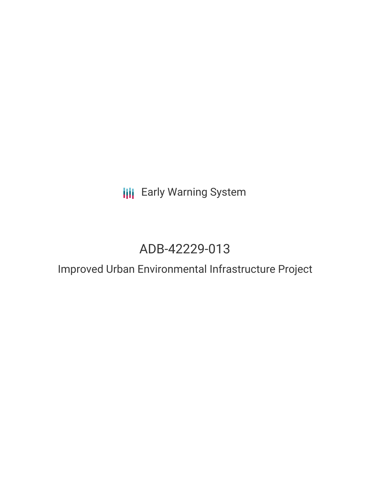# **III** Early Warning System

# ADB-42229-013

## Improved Urban Environmental Infrastructure Project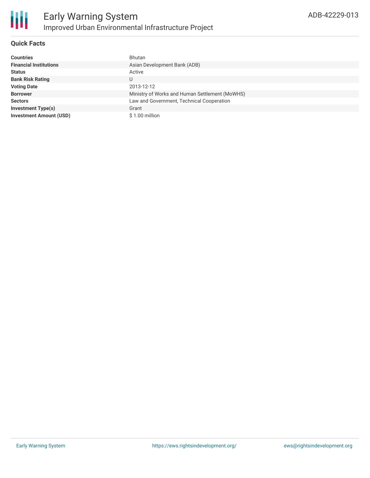

#### **Quick Facts**

| <b>Countries</b>               | Bhutan                                         |
|--------------------------------|------------------------------------------------|
| <b>Financial Institutions</b>  | Asian Development Bank (ADB)                   |
| <b>Status</b>                  | Active                                         |
| <b>Bank Risk Rating</b>        |                                                |
| <b>Voting Date</b>             | 2013-12-12                                     |
| <b>Borrower</b>                | Ministry of Works and Human Settlement (MoWHS) |
| <b>Sectors</b>                 | Law and Government, Technical Cooperation      |
| <b>Investment Type(s)</b>      | Grant                                          |
| <b>Investment Amount (USD)</b> | \$1.00 million                                 |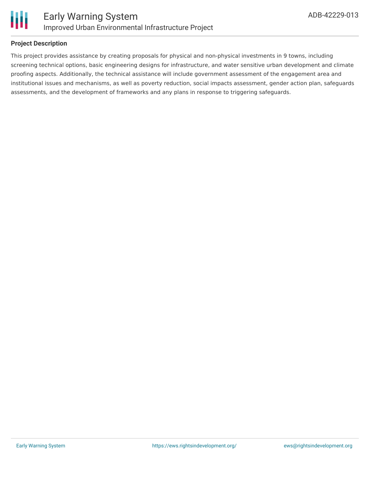

#### **Project Description**

This project provides assistance by creating proposals for physical and non-physical investments in 9 towns, including screening technical options, basic engineering designs for infrastructure, and water sensitive urban development and climate proofing aspects. Additionally, the technical assistance will include government assessment of the engagement area and institutional issues and mechanisms, as well as poverty reduction, social impacts assessment, gender action plan, safeguards assessments, and the development of frameworks and any plans in response to triggering safeguards.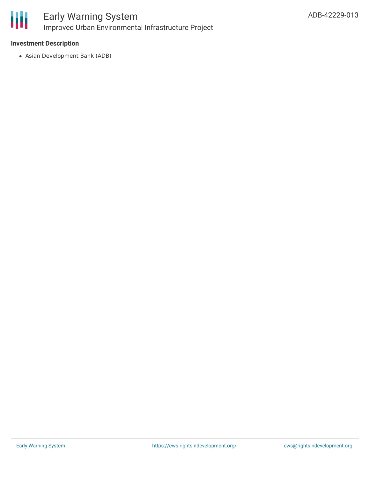

#### **Investment Description**

Asian Development Bank (ADB)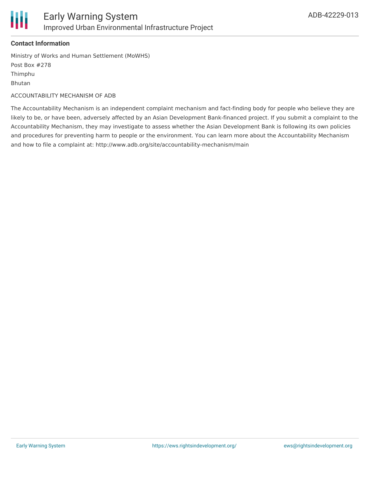

#### **Contact Information**

Ministry of Works and Human Settlement (MoWHS) Post Box #278 Thimphu Bhutan

ACCOUNTABILITY MECHANISM OF ADB

The Accountability Mechanism is an independent complaint mechanism and fact-finding body for people who believe they are likely to be, or have been, adversely affected by an Asian Development Bank-financed project. If you submit a complaint to the Accountability Mechanism, they may investigate to assess whether the Asian Development Bank is following its own policies and procedures for preventing harm to people or the environment. You can learn more about the Accountability Mechanism and how to file a complaint at: http://www.adb.org/site/accountability-mechanism/main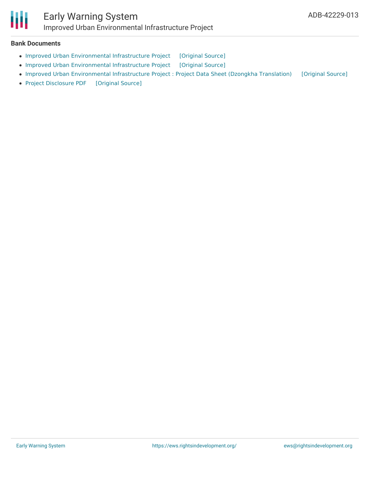

#### **Bank Documents**

- Improved Urban [Environmental](https://ewsdata.rightsindevelopment.org/files/documents/13/ADB-42229-013_hI1T01G.pdf) Infrastructure Project [\[Original](https://www.adb.org/projects/documents/improved-urban-environmental-infrastructure-project-bhutan-pptar) Source]
- Improved Urban [Environmental](https://ewsdata.rightsindevelopment.org/files/documents/13/ADB-42229-013_8Iel6Oh.pdf) Infrastructure Project [\[Original](https://www.adb.org/projects/documents/improved-urban-environmental-infrastructure-project-bhutan-ipsa) Source]
- Improved Urban [Environmental](https://ewsdata.rightsindevelopment.org/files/documents/13/ADB-42229-013_oNe1AQL.pdf) Infrastructure Project : Project Data Sheet (Dzongkha Translation) [\[Original](https://www.adb.org/dz/projects/documents/42229-013-project-data-sheet) Source]
- Project [Disclosure](https://ewsdata.rightsindevelopment.org/files/documents/13/ADB-42229-013.pdf) PDF [\[Original](https://www.adb.org/printpdf/projects/42229-013/main) Source]